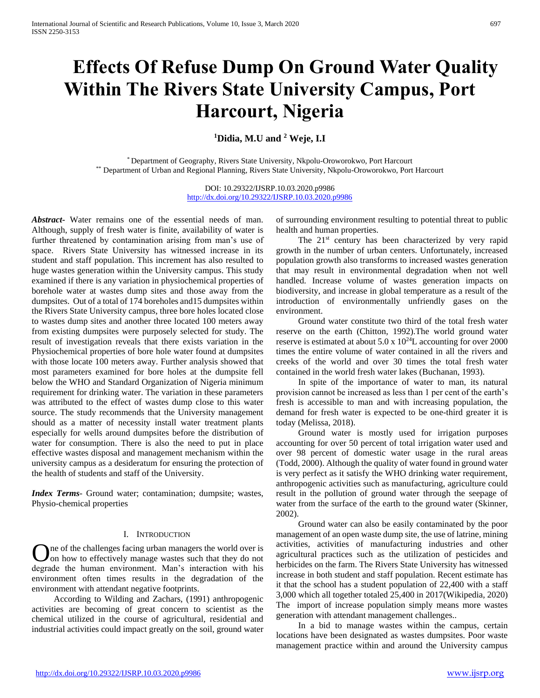# **Effects Of Refuse Dump On Ground Water Quality Within The Rivers State University Campus, Port Harcourt, Nigeria**

**<sup>1</sup>Didia, M.U and <sup>2</sup> Weje, I.I**

\* Department of Geography, Rivers State University, Nkpolu-Oroworokwo, Port Harcourt \*\* Department of Urban and Regional Planning, Rivers State University, Nkpolu-Oroworokwo, Port Harcourt

> DOI: 10.29322/IJSRP.10.03.2020.p9986 <http://dx.doi.org/10.29322/IJSRP.10.03.2020.p9986>

*Abstract***-** Water remains one of the essential needs of man. Although, supply of fresh water is finite, availability of water is further threatened by contamination arising from man's use of space. Rivers State University has witnessed increase in its student and staff population. This increment has also resulted to huge wastes generation within the University campus. This study examined if there is any variation in physiochemical properties of borehole water at wastes dump sites and those away from the dumpsites. Out of a total of 174 boreholes and15 dumpsites within the Rivers State University campus, three bore holes located close to wastes dump sites and another three located 100 meters away from existing dumpsites were purposely selected for study. The result of investigation reveals that there exists variation in the Physiochemical properties of bore hole water found at dumpsites with those locate 100 meters away. Further analysis showed that most parameters examined for bore holes at the dumpsite fell below the WHO and Standard Organization of Nigeria minimum requirement for drinking water. The variation in these parameters was attributed to the effect of wastes dump close to this water source. The study recommends that the University management should as a matter of necessity install water treatment plants especially for wells around dumpsites before the distribution of water for consumption. There is also the need to put in place effective wastes disposal and management mechanism within the university campus as a desideratum for ensuring the protection of the health of students and staff of the University.

*Index Terms*- Ground water; contamination; dumpsite; wastes, Physio-chemical properties

# I. INTRODUCTION

ne of the challenges facing urban managers the world over is on how to effectively manage wastes such that they do not **O**ne of the challenges facing urban managers the world over is on how to effectively manage wastes such that they do not degrade the human environment. Man's interaction with his environment often times results in the degradation of the environment with attendant negative footprints.

 According to Wilding and Zachars, (1991) anthropogenic activities are becoming of great concern to scientist as the chemical utilized in the course of agricultural, residential and industrial activities could impact greatly on the soil, ground water

of surrounding environment resulting to potential threat to public health and human properties.

The 21<sup>st</sup> century has been characterized by very rapid growth in the number of urban centers. Unfortunately, increased population growth also transforms to increased wastes generation that may result in environmental degradation when not well handled. Increase volume of wastes generation impacts on biodiversity, and increase in global temperature as a result of the introduction of environmentally unfriendly gases on the environment.

 Ground water constitute two third of the total fresh water reserve on the earth (Chitton, 1992).The world ground water reserve is estimated at about  $5.0 \times 10^{24}$ L accounting for over 2000 times the entire volume of water contained in all the rivers and creeks of the world and over 30 times the total fresh water contained in the world fresh water lakes (Buchanan, 1993).

 In spite of the importance of water to man, its natural provision cannot be increased as less than 1 per cent of the earth's fresh is accessible to man and with increasing population, the demand for fresh water is expected to be one-third greater it is today (Melissa, 2018).

 Ground water is mostly used for irrigation purposes accounting for over 50 percent of total irrigation water used and over 98 percent of domestic water usage in the rural areas (Todd, 2000). Although the quality of water found in ground water is very perfect as it satisfy the WHO drinking water requirement, anthropogenic activities such as manufacturing, agriculture could result in the pollution of ground water through the seepage of water from the surface of the earth to the ground water (Skinner, 2002).

 Ground water can also be easily contaminated by the poor management of an open waste dump site, the use of latrine, mining activities, activities of manufacturing industries and other agricultural practices such as the utilization of pesticides and herbicides on the farm. The Rivers State University has witnessed increase in both student and staff population. Recent estimate has it that the school has a student population of 22,400 with a staff 3,000 which all together totaled 25,400 in 2017(Wikipedia, 2020) The import of increase population simply means more wastes generation with attendant management challenges..

 In a bid to manage wastes within the campus, certain locations have been designated as wastes dumpsites. Poor waste management practice within and around the University campus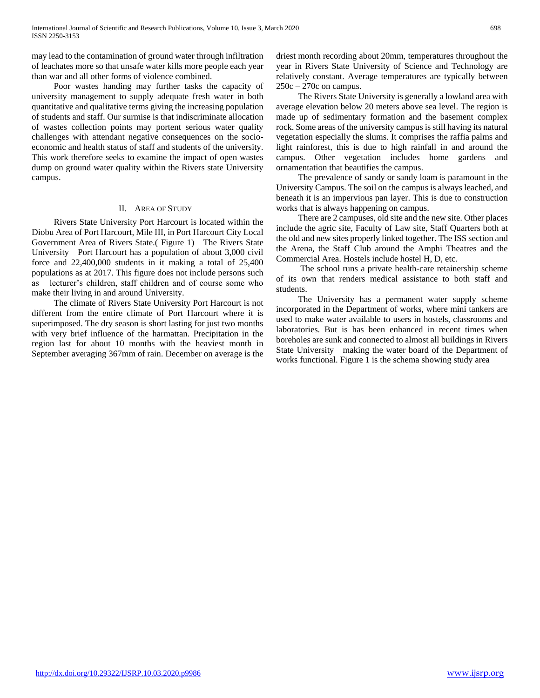may lead to the contamination of ground water through infiltration of leachates more so that unsafe water kills more people each year than war and all other forms of violence combined.

 Poor wastes handing may further tasks the capacity of university management to supply adequate fresh water in both quantitative and qualitative terms giving the increasing population of students and staff. Our surmise is that indiscriminate allocation of wastes collection points may portent serious water quality challenges with attendant negative consequences on the socioeconomic and health status of staff and students of the university. This work therefore seeks to examine the impact of open wastes dump on ground water quality within the Rivers state University campus.

# II. AREA OF STUDY

 Rivers State University Port Harcourt is located within the Diobu Area of Port Harcourt, Mile III, in Port Harcourt City Local Government Area of Rivers State.( Figure 1) The Rivers State University Port Harcourt has a population of about 3,000 civil force and 22,400,000 students in it making a total of 25,400 populations as at 2017. This figure does not include persons such as lecturer's children, staff children and of course some who make their living in and around University.

 The climate of Rivers State University Port Harcourt is not different from the entire climate of Port Harcourt where it is superimposed. The dry season is short lasting for just two months with very brief influence of the harmattan. Precipitation in the region last for about 10 months with the heaviest month in September averaging 367mm of rain. December on average is the driest month recording about 20mm, temperatures throughout the year in Rivers State University of Science and Technology are relatively constant. Average temperatures are typically between  $250c - 270c$  on campus.

 The Rivers State University is generally a lowland area with average elevation below 20 meters above sea level. The region is made up of sedimentary formation and the basement complex rock. Some areas of the university campus is still having its natural vegetation especially the slums. It comprises the raffia palms and light rainforest, this is due to high rainfall in and around the campus. Other vegetation includes home gardens and ornamentation that beautifies the campus.

 The prevalence of sandy or sandy loam is paramount in the University Campus. The soil on the campus is always leached, and beneath it is an impervious pan layer. This is due to construction works that is always happening on campus.

 There are 2 campuses, old site and the new site. Other places include the agric site, Faculty of Law site, Staff Quarters both at the old and new sites properly linked together. The ISS section and the Arena, the Staff Club around the Amphi Theatres and the Commercial Area. Hostels include hostel H, D, etc.

 The school runs a private health-care retainership scheme of its own that renders medical assistance to both staff and students.

 The University has a permanent water supply scheme incorporated in the Department of works, where mini tankers are used to make water available to users in hostels, classrooms and laboratories. But is has been enhanced in recent times when boreholes are sunk and connected to almost all buildings in Rivers State University making the water board of the Department of works functional. Figure 1 is the schema showing study area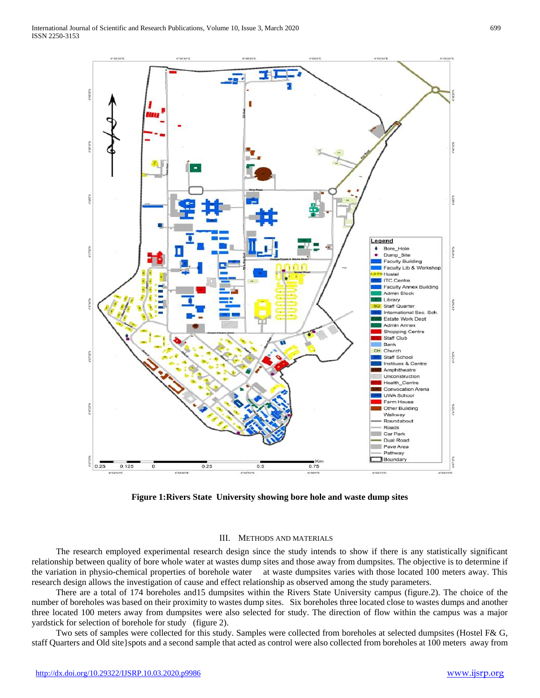



# III. METHODS AND MATERIALS

 The research employed experimental research design since the study intends to show if there is any statistically significant relationship between quality of bore whole water at wastes dump sites and those away from dumpsites. The objective is to determine if the variation in physio-chemical properties of borehole water at waste dumpsites varies with those located 100 meters away. This research design allows the investigation of cause and effect relationship as observed among the study parameters.

 There are a total of 174 boreholes and15 dumpsites within the Rivers State University campus (figure.2). The choice of the number of boreholes was based on their proximity to wastes dump sites. Six boreholes three located close to wastes dumps and another three located 100 meters away from dumpsites were also selected for study. The direction of flow within the campus was a major yardstick for selection of borehole for study (figure 2).

 Two sets of samples were collected for this study. Samples were collected from boreholes at selected dumpsites (Hostel F& G, staff Quarters and Old site}spots and a second sample that acted as control were also collected from boreholes at 100 meters away from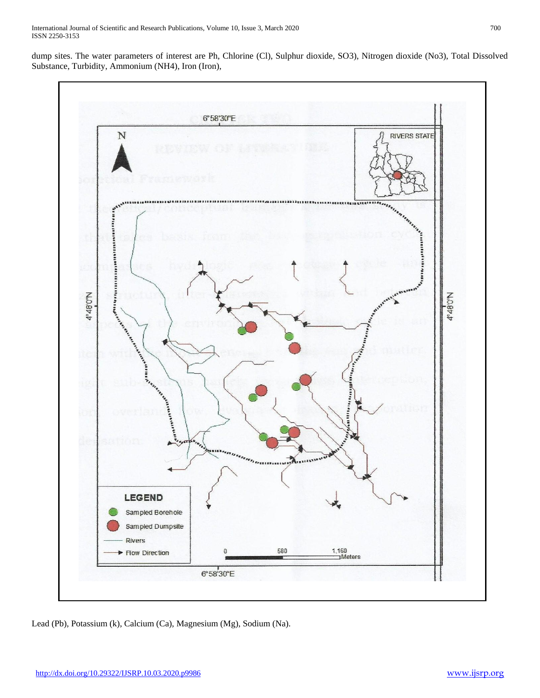dump sites. The water parameters of interest are Ph, Chlorine (Cl), Sulphur dioxide, SO3), Nitrogen dioxide (No3), Total Dissolved Substance, Turbidity, Ammonium (NH4), Iron (Iron),



Lead (Pb), Potassium (k), Calcium (Ca), Magnesium (Mg), Sodium (Na).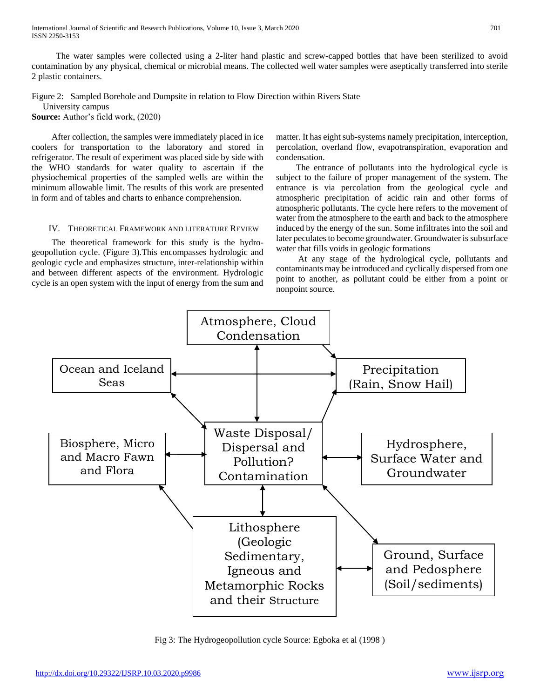International Journal of Scientific and Research Publications, Volume 10, Issue 3, March 2020 701 ISSN 2250-3153

 The water samples were collected using a 2-liter hand plastic and screw-capped bottles that have been sterilized to avoid contamination by any physical, chemical or microbial means. The collected well water samples were aseptically transferred into sterile 2 plastic containers.

Figure 2: Sampled Borehole and Dumpsite in relation to Flow Direction within Rivers State

University campus

**Source:** Author's field work, (2020)

 After collection, the samples were immediately placed in ice coolers for transportation to the laboratory and stored in refrigerator. The result of experiment was placed side by side with the WHO standards for water quality to ascertain if the physiochemical properties of the sampled wells are within the minimum allowable limit. The results of this work are presented in form and of tables and charts to enhance comprehension.

# IV. THEORETICAL FRAMEWORK AND LITERATURE REVIEW

 The theoretical framework for this study is the hydrogeopollution cycle. (Figure 3).This encompasses hydrologic and geologic cycle and emphasizes structure, inter-relationship within and between different aspects of the environment. Hydrologic cycle is an open system with the input of energy from the sum and matter. It has eight sub-systems namely precipitation, interception, percolation, overland flow, evapotranspiration, evaporation and condensation.

 The entrance of pollutants into the hydrological cycle is subject to the failure of proper management of the system. The entrance is via percolation from the geological cycle and atmospheric precipitation of acidic rain and other forms of atmospheric pollutants. The cycle here refers to the movement of water from the atmosphere to the earth and back to the atmosphere induced by the energy of the sun. Some infiltrates into the soil and later peculates to become groundwater. Groundwater is subsurface water that fills voids in geologic formations

 At any stage of the hydrological cycle, pollutants and contaminants may be introduced and cyclically dispersed from one point to another, as pollutant could be either from a point or nonpoint source.



Fig 3: The Hydrogeopollution cycle Source: Egboka et al (1998 )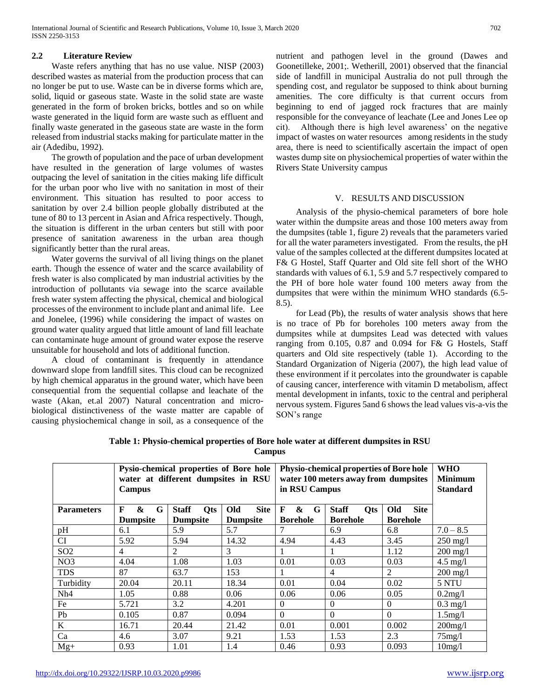# **2.2 Literature Review**

 Waste refers anything that has no use value. NISP (2003) described wastes as material from the production process that can no longer be put to use. Waste can be in diverse forms which are, solid, liquid or gaseous state. Waste in the solid state are waste generated in the form of broken bricks, bottles and so on while waste generated in the liquid form are waste such as effluent and finally waste generated in the gaseous state are waste in the form released from industrial stacks making for particulate matter in the air (Adedibu, 1992).

 The growth of population and the pace of urban development have resulted in the generation of large volumes of wastes outpacing the level of sanitation in the cities making life difficult for the urban poor who live with no sanitation in most of their environment. This situation has resulted to poor access to sanitation by over 2.4 billion people globally distributed at the tune of 80 to 13 percent in Asian and Africa respectively. Though, the situation is different in the urban centers but still with poor presence of sanitation awareness in the urban area though significantly better than the rural areas.

 Water governs the survival of all living things on the planet earth. Though the essence of water and the scarce availability of fresh water is also complicated by man industrial activities by the introduction of pollutants via sewage into the scarce available fresh water system affecting the physical, chemical and biological processes of the environment to include plant and animal life. Lee and Jonelee, (1996) while considering the impact of wastes on ground water quality argued that little amount of land fill leachate can contaminate huge amount of ground water expose the reserve unsuitable for household and lots of additional function.

 A cloud of contaminant is frequently in attendance downward slope from landfill sites. This cloud can be recognized by high chemical apparatus in the ground water, which have been consequential from the sequential collapse and leachate of the waste (Akan, et.al 2007) Natural concentration and microbiological distinctiveness of the waste matter are capable of causing physiochemical change in soil, as a consequence of the

nutrient and pathogen level in the ground (Dawes and Goonetilleke, 2001;. Wetherill, 2001) observed that the financial side of landfill in municipal Australia do not pull through the spending cost, and regulator be supposed to think about burning amenities. The core difficulty is that current occurs from beginning to end of jagged rock fractures that are mainly responsible for the conveyance of leachate (Lee and Jones Lee op cit). Although there is high level awareness' on the negative impact of wastes on water resources among residents in the study area, there is need to scientifically ascertain the impact of open wastes dump site on physiochemical properties of water within the Rivers State University campus

# V. RESULTS AND DISCUSSION

 Analysis of the physio-chemical parameters of bore hole water within the dumpsite areas and those 100 meters away from the dumpsites (table 1, figure 2) reveals that the parameters varied for all the water parameters investigated. From the results, the pH value of the samples collected at the different dumpsites located at F& G Hostel, Staff Quarter and Old site fell short of the WHO standards with values of 6.1, 5.9 and 5.7 respectively compared to the PH of bore hole water found 100 meters away from the dumpsites that were within the minimum WHO standards (6.5- 8.5).

 for Lead (Pb), the results of water analysis shows that here is no trace of Pb for boreholes 100 meters away from the dumpsites while at dumpsites Lead was detected with values ranging from 0.105, 0.87 and 0.094 for F& G Hostels, Staff quarters and Old site respectively (table 1). According to the Standard Organization of Nigeria (2007), the high lead value of these environment if it percolates into the groundwater is capable of causing cancer, interference with vitamin D metabolism, affect mental development in infants, toxic to the central and peripheral nervous system. Figures 5and 6 shows the lead values vis-a-vis the SON's range

|                   | Campus                      | Pysio-chemical properties of Bore hole<br>water at different dumpsites in RSU |                    | in RSU Campus               | <b>Physio-chemical properties of Bore hole</b><br>water 100 meters away from dumpsites |                    | <b>WHO</b><br><b>Minimum</b><br><b>Standard</b> |
|-------------------|-----------------------------|-------------------------------------------------------------------------------|--------------------|-----------------------------|----------------------------------------------------------------------------------------|--------------------|-------------------------------------------------|
| <b>Parameters</b> | $\boldsymbol{\&}$<br>G<br>F | <b>Staff</b><br><b>Qts</b>                                                    | <b>Site</b><br>Old | $\boldsymbol{\&}$<br>G<br>F | <b>Staff</b><br><b>Qts</b>                                                             | <b>Site</b><br>Old |                                                 |
|                   | <b>Dumpsite</b>             | <b>Dumpsite</b>                                                               | <b>Dumpsite</b>    | <b>Borehole</b>             | <b>Borehole</b>                                                                        | <b>Borehole</b>    |                                                 |
| pH                | 6.1                         | 5.9                                                                           | 5.7                |                             | 6.9                                                                                    | 6.8                | $7.0 - 8.5$                                     |
| <b>CI</b>         | 5.92                        | 5.94                                                                          | 14.32              | 4.94                        | 4.43                                                                                   | 3.45               | $250 \text{ mg/l}$                              |
| SO <sub>2</sub>   | 4                           | 2                                                                             | 3                  | I.                          |                                                                                        | 1.12               | $200$ mg/l                                      |
| NO <sub>3</sub>   | 4.04                        | 1.08                                                                          | 1.03               | 0.01                        | 0.03                                                                                   | 0.03               | $4.5 \text{ mg}/l$                              |
| <b>TDS</b>        | 87                          | 63.7                                                                          | 153                | 1                           | 4                                                                                      | 2                  | $200 \text{ mg/l}$                              |
| Turbidity         | 20.04                       | 20.11                                                                         | 18.34              | 0.01                        | 0.04                                                                                   | 0.02               | 5 NTU                                           |
| Nh4               | 1.05                        | 0.88                                                                          | 0.06               | 0.06                        | 0.06                                                                                   | 0.05               | 0.2mg/l                                         |
| Fe                | 5.721                       | 3.2                                                                           | 4.201              | $\Omega$                    | $\theta$                                                                               | $\theta$           | $0.3$ mg/l                                      |
| Pb                | 0.105                       | 0.87                                                                          | 0.094              | $\Omega$                    | $\Omega$                                                                               | $\Omega$           | $1.5$ mg/l                                      |
| $\bf K$           | 16.71                       | 20.44                                                                         | 21.42              | 0.01                        | 0.001                                                                                  | 0.002              | $200$ mg/l                                      |
| Ca                | 4.6                         | 3.07                                                                          | 9.21               | 1.53                        | 1.53                                                                                   | 2.3                | $75$ mg/l                                       |
| $Mg+$             | 0.93                        | 1.01                                                                          | 1.4                | 0.46                        | 0.93                                                                                   | 0.093              | 10mg/l                                          |

**Table 1: Physio-chemical properties of Bore hole water at different dumpsites in RSU Campus**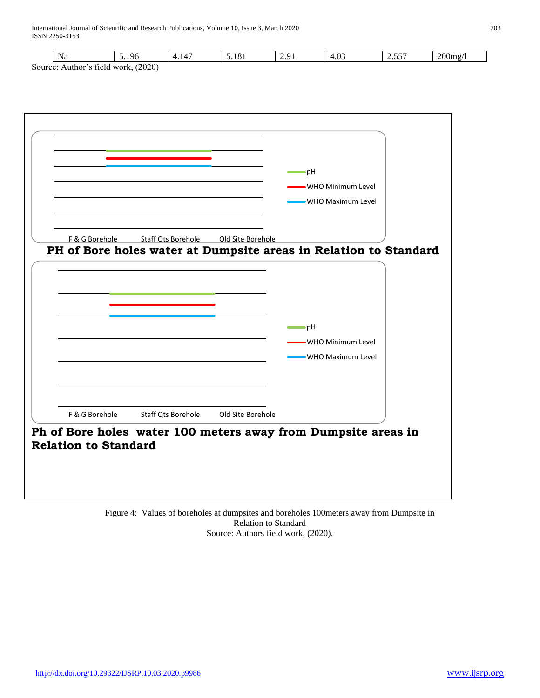| Na             | $\overline{5.196}$                                               | 4.147              | 5.181             | 2.91 | 4.03                                                          | 2.557 |  |
|----------------|------------------------------------------------------------------|--------------------|-------------------|------|---------------------------------------------------------------|-------|--|
|                | Source: Author's field work, (2020)                              |                    |                   |      |                                                               |       |  |
|                |                                                                  |                    |                   |      |                                                               |       |  |
|                |                                                                  |                    |                   |      |                                                               |       |  |
|                |                                                                  |                    |                   |      |                                                               |       |  |
|                |                                                                  |                    |                   |      |                                                               |       |  |
|                |                                                                  |                    |                   |      |                                                               |       |  |
|                |                                                                  |                    |                   |      |                                                               |       |  |
|                |                                                                  |                    |                   |      |                                                               |       |  |
|                |                                                                  |                    |                   |      |                                                               |       |  |
|                |                                                                  |                    |                   |      | pH                                                            |       |  |
|                |                                                                  |                    |                   |      |                                                               |       |  |
|                |                                                                  |                    |                   |      | -WHO Minimum Level                                            |       |  |
|                |                                                                  |                    |                   |      | -WHO Maximum Level                                            |       |  |
|                |                                                                  |                    |                   |      |                                                               |       |  |
|                |                                                                  |                    |                   |      |                                                               |       |  |
|                |                                                                  |                    |                   |      |                                                               |       |  |
| F & G Borehole |                                                                  | Staff Qts Borehole | Old Site Borehole |      |                                                               |       |  |
|                | PH of Bore holes water at Dumpsite areas in Relation to Standard |                    |                   |      |                                                               |       |  |
|                |                                                                  |                    |                   |      |                                                               |       |  |
|                |                                                                  |                    |                   |      |                                                               |       |  |
|                |                                                                  |                    |                   |      | ∙pH                                                           |       |  |
|                |                                                                  |                    |                   |      | -WHO Minimum Level                                            |       |  |
|                |                                                                  |                    |                   |      |                                                               |       |  |
|                |                                                                  |                    |                   |      | -WHO Maximum Level                                            |       |  |
|                |                                                                  |                    |                   |      |                                                               |       |  |
|                |                                                                  |                    |                   |      |                                                               |       |  |
|                |                                                                  |                    |                   |      |                                                               |       |  |
|                |                                                                  |                    |                   |      |                                                               |       |  |
| F & G Borehole |                                                                  | Staff Qts Borehole | Old Site Borehole |      |                                                               |       |  |
|                |                                                                  |                    |                   |      |                                                               |       |  |
|                |                                                                  |                    |                   |      | Ph of Bore holes water 100 meters away from Dumpsite areas in |       |  |
|                | <b>Relation to Standard</b>                                      |                    |                   |      |                                                               |       |  |
|                |                                                                  |                    |                   |      |                                                               |       |  |

Figure 4: Values of boreholes at dumpsites and boreholes 100meters away from Dumpsite in Relation to Standard Source: Authors field work, (2020).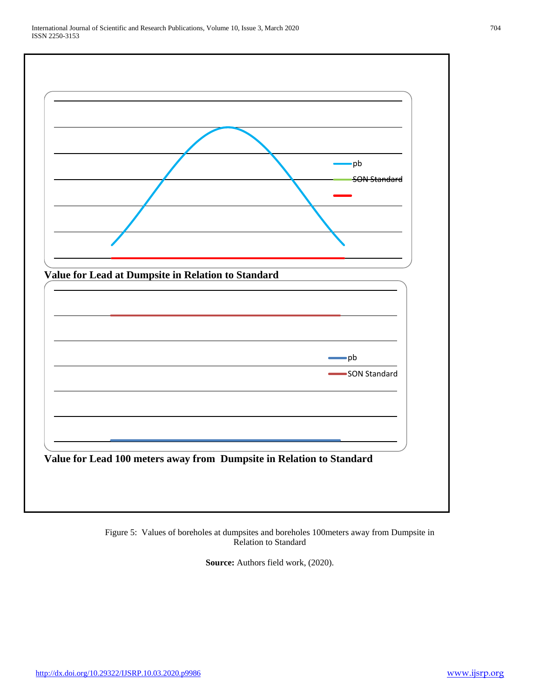

Figure 5: Values of boreholes at dumpsites and boreholes 100meters away from Dumpsite in Relation to Standard

**Source:** Authors field work, (2020).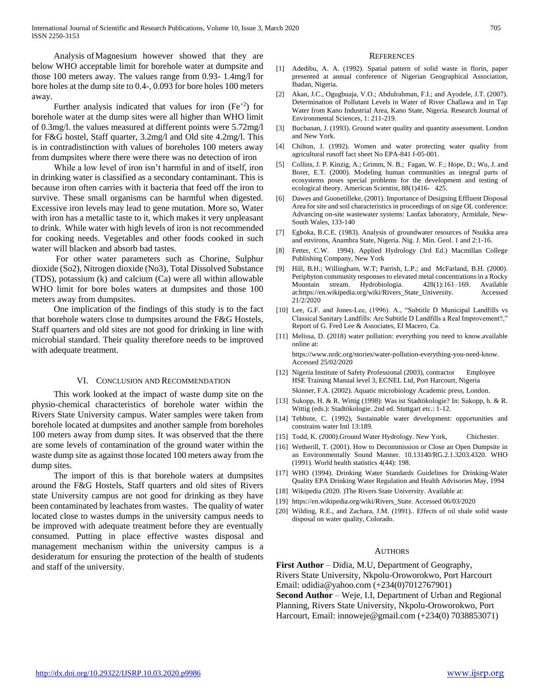Analysis ofMagnesium however showed that they are below WHO acceptable limit for borehole water at dumpsite and those 100 meters away. The values range from 0.93- 1.4mg/l for bore holes at the dump site to 0.4-, 0.093 for bore holes 100 meters away.

Further analysis indicated that values for iron  $(Fe^{+2})$  for borehole water at the dump sites were all higher than WHO limit of 0.3mg/l. the values measured at different points were 5.72mg/l for F&G hostel, Staff quarter, 3.2mg/l and Old site 4.2mg/l. This is in contradistinction with values of boreholes 100 meters away from dumpsites where there were there was no detection of iron

 While a low level of iron isn't harmful in and of itself, iron in drinking water is classified as a secondary contaminant. This is because iron often carries with it bacteria that feed off the iron to survive. These small organisms can be harmful when digested. Excessive iron levels may lead to gene mutation. More so, Water with iron has a metallic taste to it, which makes it very unpleasant to drink. While water with high levels of iron is not recommended for cooking needs. Vegetables and other foods cooked in such water will blacken and absorb bad tastes.

 For other water parameters such as Chorine, Sulphur dioxide (So2), Nitrogen dioxide (No3), Total Dissolved Substance (TDS), potassium (k) and calcium (Ca) were all within allowable WHO limit for bore boles waters at dumpsites and those 100 meters away from dumpsites.

 One implication of the findings of this study is to the fact that borehole waters close to dumpsites around the F&G Hostels, Staff quarters and old sites are not good for drinking in line with microbial standard. Their quality therefore needs to be improved with adequate treatment.

# VI. CONCLUSION AND RECOMMENDATION

 This work looked at the impact of waste dump site on the physio-chemical characteristics of borehole water within the Rivers State University campus. Water samples were taken from borehole located at dumpsites and another sample from boreholes 100 meters away from dump sites. It was observed that the there are some levels of contamination of the ground water within the waste dump site as against those located 100 meters away from the dump sites.

 The import of this is that borehole waters at dumpsites around the F&G Hostels, Staff quarters and old sites of Rivers state University campus are not good for drinking as they have been contaminated by leachates from wastes. The quality of water located close to wastes dumps in the university campus needs to be improved with adequate treatment before they are eventually consumed. Putting in place effective wastes disposal and management mechanism within the university campus is a desideratum for ensuring the protection of the health of students and staff of the university.

#### **REFERENCES**

- [1] Adedibu, A. A. (1992). Spatial pattern of solid waste in florin, paper presented at annual conference of Nigerian Geographical Association, Ibadan, Nigeria.
- [2] Akan, J.C., Ogugbuaja, V.O.; Abdulrahman, F.I.; and Ayodele, J.T. (2007). Determination of Pollutant Levels in Water of River Challawa and in Tap Water from Kano Industrial Area, Kano State, Nigeria. Research Journal of Environmental Sciences, 1: 211-219.
- [3] Buchanan, J. (1993). Ground water quality and quantity assessment. London and New York.
- [4] Chilton, J. (1992). Women and water protecting water quality from agricultural runoff fact sheet No EPA-841 f-05-001.
- [5] Collins, J. P. Kinzig, A.; Grimm, N. B.; Fagan, W. F.; Hope, D.; Wu, J. and Borer, E.T. (2000). Modeling human communities as integral parts of ecosystems poses special problems for the development and testing of ecological theory. American Scientist, 88(1)416- 425.
- [6] Dawes and Goonetilleke, (2001). Importance of Designing Effluent Disposal Area for site and soil characteristics in proceedings of on sige OL conference: Advancing on-site wastewater systems: Lanfax laboratory, Armidale, New-South Wales, 133-140
- [7] Egboka, B.C.E. (1983). Analysis of groundwater resources of Nsukka area and environs, Anambra State, Nigeria. Nig. J. Min. Geol. 1 and 2:1-16.
- [8] Fetter, C.W. 1994). Applied Hydrology (3rd Ed.) Macmillan College Publishing Company, New York
- [9] Hill, B.H.; Willingham, W.T; Parrish, L.P.; and McFarland, B.H. (2000). Periphyton community responses to elevated metal concentrations in a Rocky Mountain stream. Hydrobiologia. 428(1):161–169. Available at:https://en.wikipedia.org/wiki/Rivers\_State\_University. Accessed 21/2/2020
- [10] Lee, G.F. and Jones-Lee, (1996). A., "Subtitle D Municipal Landfills vs Classical Sanitary Landfills: Are Subtitle D Landfills a Real Improvement?," Report of G. Fred Lee & Associates, El Macero, Ca.
- [11] Melissa, D. (2018) water pollution: everything you need to know.available online at:

https://www.nrdc.org/stories/water-pollution-everything-you-need-know. Accessed 25/02/2020

- [12] Nigeria Institute of Safety Professional (2003), contractor Employee HSE Training Manual level 3, ECNEL Ltd, Port Harcourt, Nigeria Skinner, F.A. (2002). Aquatic microbiology Academic press, London.
- [13] Sukopp, H. & R. Wittig (1998): Was ist Stadtökologie? In: Sukopp, h. & R. Wittig (eds.): Stadtökologie. 2nd ed. Stuttgart etc.: 1-12.
- [14] Tebbute, C. (1992), Sustainable water development: opportunities and constrains water Intl 13:189.
- [15] Todd, K. (2000).Ground Water Hydrology. New York, Chichester.
- [16] Wetherill, T. (2001). How to Decommission or Close an Open Dumpsite in an Environmentally Sound Manner. 10.13140/RG.2.1.3203.4320. WHO (1991). World health statistics 4(44): 198.
- [17] WHO (1994). Drinking Water Standards Guidelines for Drinking-Water Quality EPA Drinking Water Regulation and Health Advisories May, 1994
- [18] Wikipedia (2020. )The Rivers State University. Available at:
- [19] https://en.wikipedia.org/wiki/Rivers\_State. Accessed 06/03/2020
- [20] Wilding, R.E., and Zachara, J.M. (1991).. Effects of oil shale solid waste disposal on water quality, Colorado.

# **AUTHORS**

**First Author** – Didia, M.U, Department of Geography, Rivers State University, Nkpolu-Oroworokwo, Port Harcourt Email: udidia@yahoo.com (+234(0)7012767901) **Second Author** – Weje, I.I, Department of Urban and Regional Planning, Rivers State University, Nkpolu-Oroworokwo, Port Harcourt, Email: innoweje@gmail.com (+234(0) 7038853071)